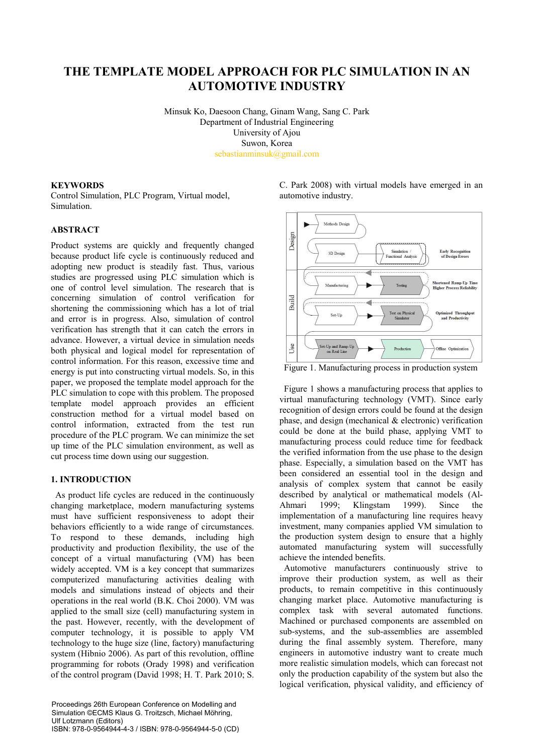# **THE TEMPLATE MODEL APPROACH FOR PLC SIMULATION IN AN AUTOMOTIVE INDUSTRY**

Minsuk Ko, Daesoon Chang, Ginam Wang, Sang C. Park Department of Industrial Engineering University of Ajou Suwon, Korea sebastianminsuk@gmail.com

## **KEYWORDS**

Control Simulation, PLC Program, Virtual model, Simulation.

#### **ABSTRACT**

Product systems are quickly and frequently changed because product life cycle is continuously reduced and adopting new product is steadily fast. Thus, various studies are progressed using PLC simulation which is one of control level simulation. The research that is concerning simulation of control verification for shortening the commissioning which has a lot of trial and error is in progress. Also, simulation of control verification has strength that it can catch the errors in advance. However, a virtual device in simulation needs both physical and logical model for representation of control information. For this reason, excessive time and energy is put into constructing virtual models. So, in this paper, we proposed the template model approach for the PLC simulation to cope with this problem. The proposed template model approach provides an efficient construction method for a virtual model based on control information, extracted from the test run procedure of the PLC program. We can minimize the set up time of the PLC simulation environment, as well as cut process time down using our suggestion.

# **1. INTRODUCTION**

As product life cycles are reduced in the continuously changing marketplace, modern manufacturing systems must have sufficient responsiveness to adopt their behaviors efficiently to a wide range of circumstances. To respond to these demands, including high productivity and production flexibility, the use of the concept of a virtual manufacturing (VM) has been widely accepted. VM is a key concept that summarizes computerized manufacturing activities dealing with models and simulations instead of objects and their operations in the real world (B.K. Choi 2000). VM was applied to the small size (cell) manufacturing system in the past. However, recently, with the development of computer technology, it is possible to apply VM technology to the huge size (line, factory) manufacturing system (Hibnio 2006). As part of this revolution, offline programming for robots (Orady 1998) and verification of the control program (David 1998; H. T. Park 2010; S. C. Park 2008) with virtual models have emerged in an automotive industry.



Figure 1. Manufacturing process in production system

Figure 1 shows a manufacturing process that applies to virtual manufacturing technology (VMT). Since early recognition of design errors could be found at the design phase, and design (mechanical  $\&$  electronic) verification could be done at the build phase, applying VMT to manufacturing process could reduce time for feedback the verified information from the use phase to the design phase. Especially, a simulation based on the VMT has been considered an essential tool in the design and analysis of complex system that cannot be easily described by analytical or mathematical models (Al-<br>Ahmari 1999; Klingstam 1999). Since the Ahmari 1999; Klingstam 1999). Since the implementation of a manufacturing line requires heavy investment, many companies applied VM simulation to the production system design to ensure that a highly automated manufacturing system will successfully achieve the intended benefits.

Automotive manufacturers continuously strive to improve their production system, as well as their products, to remain competitive in this continuously changing market place. Automotive manufacturing is complex task with several automated functions. Machined or purchased components are assembled on sub-systems, and the sub-assemblies are assembled during the final assembly system. Therefore, many engineers in automotive industry want to create much more realistic simulation models, which can forecast not only the production capability of the system but also the logical verification, physical validity, and efficiency of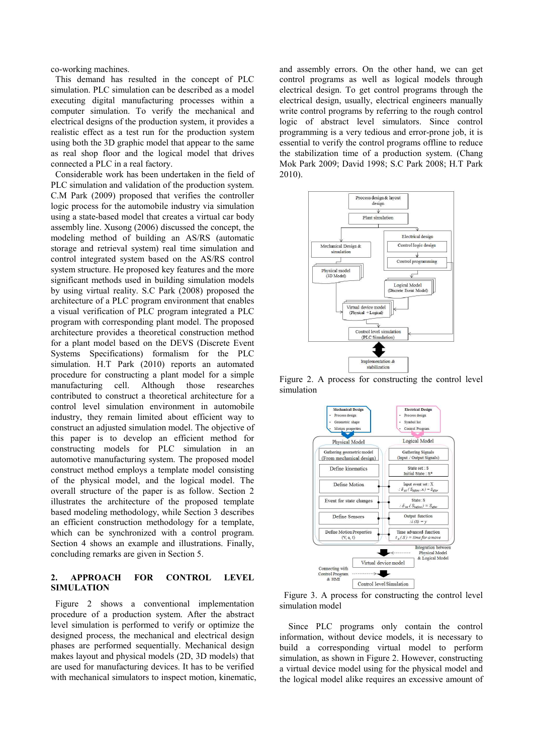co-working machines.

This demand has resulted in the concept of PLC simulation. PLC simulation can be described as a model executing digital manufacturing processes within a computer simulation. To verify the mechanical and electrical designs of the production system, it provides a realistic effect as a test run for the production system using both the 3D graphic model that appear to the same as real shop floor and the logical model that drives connected a PLC in a real factory.

Considerable work has been undertaken in the field of PLC simulation and validation of the production system. C.M Park (2009) proposed that verifies the controller logic process for the automobile industry via simulation using a state-based model that creates a virtual car body assembly line. Xusong (2006) discussed the concept, the modeling method of building an AS/RS (automatic storage and retrieval system) real time simulation and control integrated system based on the AS/RS control system structure. He proposed key features and the more significant methods used in building simulation models by using virtual reality. S.C Park (2008) proposed the architecture of a PLC program environment that enables a visual verification of PLC program integrated a PLC program with corresponding plant model. The proposed architecture provides a theoretical construction method for a plant model based on the DEVS (Discrete Event Systems Specifications) formalism for the PLC simulation. H.T Park (2010) reports an automated procedure for constructing a plant model for a simple manufacturing cell. Although those researches contributed to construct a theoretical architecture for a control level simulation environment in automobile industry, they remain limited about efficient way to construct an adjusted simulation model. The objective of this paper is to develop an efficient method for constructing models for PLC simulation in an automotive manufacturing system. The proposed model construct method employs a template model consisting of the physical model, and the logical model. The overall structure of the paper is as follow. Section 2 illustrates the architecture of the proposed template based modeling methodology, while Section 3 describes an efficient construction methodology for a template, which can be synchronized with a control program. Section 4 shows an example and illustrations. Finally, concluding remarks are given in Section 5.

## **2. APPROACH FOR CONTROL LEVEL SIMULATION**

Figure 2 shows a conventional implementation procedure of a production system. After the abstract level simulation is performed to verify or optimize the designed process, the mechanical and electrical design phases are performed sequentially. Mechanical design makes layout and physical models (2D, 3D models) that are used for manufacturing devices. It has to be verified with mechanical simulators to inspect motion, kinematic, and assembly errors. On the other hand, we can get control programs as well as logical models through electrical design. To get control programs through the electrical design, usually, electrical engineers manually write control programs by referring to the rough control logic of abstract level simulators. Since control programming is a very tedious and error-prone job, it is essential to verify the control programs offline to reduce the stabilization time of a production system. (Chang Mok Park 2009; David 1998; S.C Park 2008; H.T Park 2010).



Figure 2. A process for constructing the control level simulation



Figure 3. A process for constructing the control level simulation model

Since PLC programs only contain the control information, without device models, it is necessary to build a corresponding virtual model to perform simulation, as shown in Figure 2. However, constructing a virtual device model using for the physical model and the logical model alike requires an excessive amount of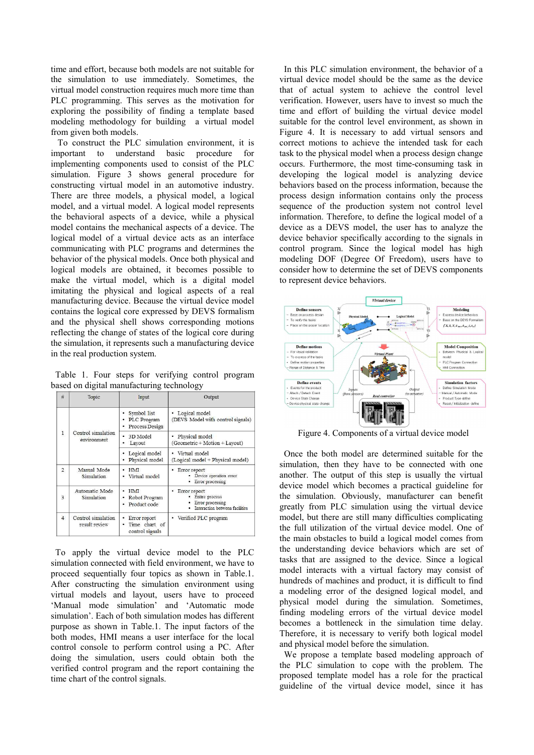time and effort, because both models are not suitable for the simulation to use immediately. Sometimes, the virtual model construction requires much more time than PLC programming. This serves as the motivation for exploring the possibility of finding a template based modeling methodology for building a virtual model from given both models.

To construct the PLC simulation environment, it is important to understand basic procedure for implementing components used to consist of the PLC simulation. Figure 3 shows general procedure for constructing virtual model in an automotive industry. There are three models, a physical model, a logical model, and a virtual model. A logical model represents the behavioral aspects of a device, while a physical model contains the mechanical aspects of a device. The logical model of a virtual device acts as an interface communicating with PLC programs and determines the behavior of the physical models. Once both physical and logical models are obtained, it becomes possible to make the virtual model, which is a digital model imitating the physical and logical aspects of a real manufacturing device. Because the virtual device model contains the logical core expressed by DEVS formalism and the physical shell shows corresponding motions reflecting the change of states of the logical core during the simulation, it represents such a manufacturing device in the real production system.

Table 1. Four steps for verifying control program based on digital manufacturing technology

| #              | Topic                               | Input                                                 | Output                                                                                 |
|----------------|-------------------------------------|-------------------------------------------------------|----------------------------------------------------------------------------------------|
| $\mathbf{1}$   | Control simulation<br>environment   | Symbol list<br>PLC Program<br>Process Design          | · Logical model<br>(DEVS Model with control signals)                                   |
|                |                                     | 3D Model<br>Layout<br>٠                               | Physical model<br>$\bullet$<br>(Geometric + Motion + Layout)                           |
|                |                                     | Logical model<br>Physical model                       | · Virtual model<br>(Logical model + Physical model)                                    |
| $\mathbf{2}$   | Manual Mode<br>Simulation           | HMI<br>· Virtual model                                | • Error report<br>· Device operation error<br>Error processing                         |
| $\overline{3}$ | Automatic Mode<br>Simulation        | <b>HMI</b><br>Robot Program<br>Product code           | Error report<br>· Entire process<br>Error processing<br>Interaction between facilities |
| $\overline{4}$ | Control simulation<br>result review | Error report<br>٠<br>Time chart of<br>control signals | • Verified PLC program                                                                 |

To apply the virtual device model to the PLC simulation connected with field environment, we have to proceed sequentially four topics as shown in Table.1. After constructing the simulation environment using virtual models and layout, users have to proceed 'Manual mode simulation' and 'Automatic mode simulation'. Each of both simulation modes has different purpose as shown in Table.1. The input factors of the both modes, HMI means a user interface for the local control console to perform control using a PC. After doing the simulation, users could obtain both the verified control program and the report containing the time chart of the control signals.

In this PLC simulation environment, the behavior of a virtual device model should be the same as the device that of actual system to achieve the control level verification. However, users have to invest so much the time and effort of building the virtual device model suitable for the control level environment, as shown in Figure 4. It is necessary to add virtual sensors and correct motions to achieve the intended task for each task to the physical model when a process design change occurs. Furthermore, the most time-consuming task in developing the logical model is analyzing device behaviors based on the process information, because the process design information contains only the process sequence of the production system not control level information. Therefore, to define the logical model of a device as a DEVS model, the user has to analyze the device behavior specifically according to the signals in control program. Since the logical model has high modeling DOF (Degree Of Freedom), users have to consider how to determine the set of DEVS components to represent device behaviors.



Figure 4. Components of a virtual device model

Once the both model are determined suitable for the simulation, then they have to be connected with one another. The output of this step is usually the virtual device model which becomes a practical guideline for the simulation. Obviously, manufacturer can benefit greatly from PLC simulation using the virtual device model, but there are still many difficulties complicating the full utilization of the virtual device model. One of the main obstacles to build a logical model comes from the understanding device behaviors which are set of tasks that are assigned to the device. Since a logical model interacts with a virtual factory may consist of hundreds of machines and product, it is difficult to find a modeling error of the designed logical model, and physical model during the simulation. Sometimes, finding modeling errors of the virtual device model becomes a bottleneck in the simulation time delay. Therefore, it is necessary to verify both logical model and physical model before the simulation.

We propose a template based modeling approach of the PLC simulation to cope with the problem. The proposed template model has a role for the practical guideline of the virtual device model, since it has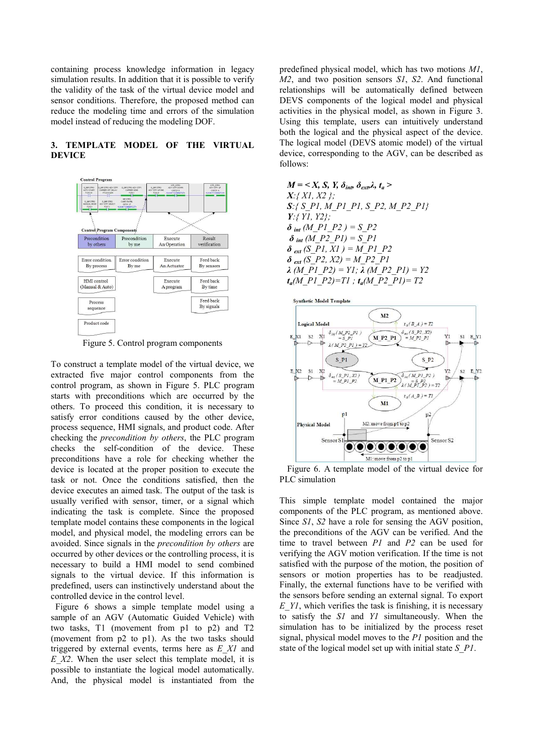containing process knowledge information in legacy simulation results. In addition that it is possible to verify the validity of the task of the virtual device model and sensor conditions. Therefore, the proposed method can reduce the modeling time and errors of the simulation model instead of reducing the modeling DOF.

## **3. TEMPLATE MODEL OF THE VIRTUAL DEVICE**



Figure 5. Control program components

To construct a template model of the virtual device, we extracted five major control components from the control program, as shown in Figure 5. PLC program starts with preconditions which are occurred by the others. To proceed this condition, it is necessary to satisfy error conditions caused by the other device, process sequence, HMI signals, and product code. After checking the *precondition by others*, the PLC program checks the self-condition of the device. These preconditions have a role for checking whether the device is located at the proper position to execute the task or not. Once the conditions satisfied, then the device executes an aimed task. The output of the task is usually verified with sensor, timer, or a signal which indicating the task is complete. Since the proposed template model contains these components in the logical model, and physical model, the modeling errors can be avoided. Since signals in the *precondition by others* are occurred by other devices or the controlling process, it is necessary to build a HMI model to send combined signals to the virtual device. If this information is predefined, users can instinctively understand about the controlled device in the control level.

Figure 6 shows a simple template model using a sample of an AGV (Automatic Guided Vehicle) with two tasks, T1 (movement from p1 to p2) and T2 (movement from p2 to p1). As the two tasks should triggered by external events, terms here as *E\_X1* and *E\_X2*. When the user select this template model, it is possible to instantiate the logical model automatically. And, the physical model is instantiated from the predefined physical model, which has two motions *M1*, *M2*, and two position sensors *S1*, *S2*. And functional relationships will be automatically defined between DEVS components of the logical model and physical activities in the physical model, as shown in Figure 3. Using this template, users can intuitively understand both the logical and the physical aspect of the device. The logical model (DEVS atomic model) of the virtual device, corresponding to the AGV, can be described as follows:





Figure 6. A template model of the virtual device for PLC simulation

This simple template model contained the major components of the PLC program, as mentioned above. Since *S1*, *S2* have a role for sensing the AGV position, the preconditions of the AGV can be verified. And the time to travel between *P1* and *P2* can be used for verifying the AGV motion verification. If the time is not satisfied with the purpose of the motion, the position of sensors or motion properties has to be readjusted. Finally, the external functions have to be verified with the sensors before sending an external signal. To export *E\_Y1*, which verifies the task is finishing, it is necessary to satisfy the *S1* and *Y1* simultaneously. When the simulation has to be initialized by the process reset signal, physical model moves to the *P1* position and the state of the logical model set up with initial state *S\_P1*.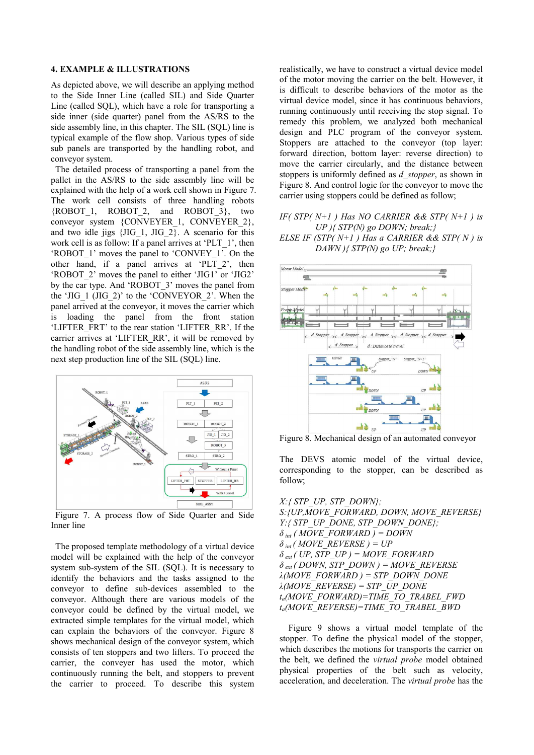#### **4. EXAMPLE & ILLUSTRATIONS**

As depicted above, we will describe an applying method to the Side Inner Line (called SIL) and Side Quarter Line (called SQL), which have a role for transporting a side inner (side quarter) panel from the AS/RS to the side assembly line, in this chapter. The SIL (SQL) line is typical example of the flow shop. Various types of side sub panels are transported by the handling robot, and conveyor system.

The detailed process of transporting a panel from the pallet in the AS/RS to the side assembly line will be explained with the help of a work cell shown in Figure 7. The work cell consists of three handling robots {ROBOT\_1, ROBOT\_2, and ROBOT\_3}, two conveyor system {CONVEYER\_1, CONVEYER\_2}, and two idle jigs {JIG\_1, JIG\_2}. A scenario for this work cell is as follow: If a panel arrives at 'PLT\_1', then 'ROBOT\_1' moves the panel to 'CONVEY\_1'. On the other hand, if a panel arrives at 'PLT\_2', then 'ROBOT\_2' moves the panel to either 'JIG1' or 'JIG2' by the car type. And 'ROBOT\_3' moves the panel from the 'JIG\_1 (JIG\_2)' to the 'CONVEYOR\_2'. When the panel arrived at the conveyor, it moves the carrier which is loading the panel from the front station 'LIFTER FRT' to the rear station 'LIFTER RR'. If the carrier arrives at 'LIFTER\_RR', it will be removed by the handling robot of the side assembly line, which is the next step production line of the SIL (SQL) line.



Figure 7. A process flow of Side Quarter and Side Inner line

The proposed template methodology of a virtual device model will be explained with the help of the conveyor system sub-system of the SIL (SQL). It is necessary to identify the behaviors and the tasks assigned to the conveyor to define sub-devices assembled to the conveyor. Although there are various models of the conveyor could be defined by the virtual model, we extracted simple templates for the virtual model, which can explain the behaviors of the conveyor. Figure 8 shows mechanical design of the conveyor system, which consists of ten stoppers and two lifters. To proceed the carrier, the conveyer has used the motor, which continuously running the belt, and stoppers to prevent the carrier to proceed. To describe this system realistically, we have to construct a virtual device model of the motor moving the carrier on the belt. However, it is difficult to describe behaviors of the motor as the virtual device model, since it has continuous behaviors, running continuously until receiving the stop signal. To remedy this problem, we analyzed both mechanical design and PLC program of the conveyor system. Stoppers are attached to the conveyor (top layer: forward direction, bottom layer: reverse direction) to move the carrier circularly, and the distance between stoppers is uniformly defined as *d\_stopper*, as shown in Figure 8. And control logic for the conveyor to move the carrier using stoppers could be defined as follow;

## *IF( STP( N+1 ) Has NO CARRIER && STP( N+1 ) is UP ){ STP(N) go DOWN; break;} ELSE IF (STP( N+1 ) Has a CARRIER && STP( N ) is DAWN ){ STP(N) go UP; break;}*



Figure 8. Mechanical design of an automated conveyor

The DEVS atomic model of the virtual device, corresponding to the stopper, can be described as follow;

*X:{ STP\_UP, STP\_DOWN}; S:{UP,MOVE\_FORWARD, DOWN, MOVE\_REVERSE} Y:{ STP\_UP\_DONE, STP\_DOWN\_DONE};*   $\delta$ <sub>*int</sub>* (*MOVE\_FORWARD* ) = DOWN</sub>  $\delta$ <sub>*int</sub>* (*MOVE\_REVERSE* ) = UP</sub>  $\delta$ <sub>*ext</sub>* (*UP, STP\_UP* ) = MOVE\_FORWARD</sub>  $\delta$ <sub>*ext</sub>* (*DOWN, STP\_DOWN* ) = MOVE\_REVERSE</sub> *λ(MOVE\_FORWARD ) = STP\_DOWN\_DONE λ(MOVE\_REVERSE) = STP\_UP\_DONE ta(MOVE\_FORWARD)=TIME\_TO\_TRABEL\_FWD ta(MOVE\_REVERSE)=TIME\_TO\_TRABEL\_BWD*

Figure 9 shows a virtual model template of the stopper. To define the physical model of the stopper, which describes the motions for transports the carrier on the belt, we defined the *virtual probe* model obtained physical properties of the belt such as velocity, acceleration, and deceleration. The *virtual probe* has the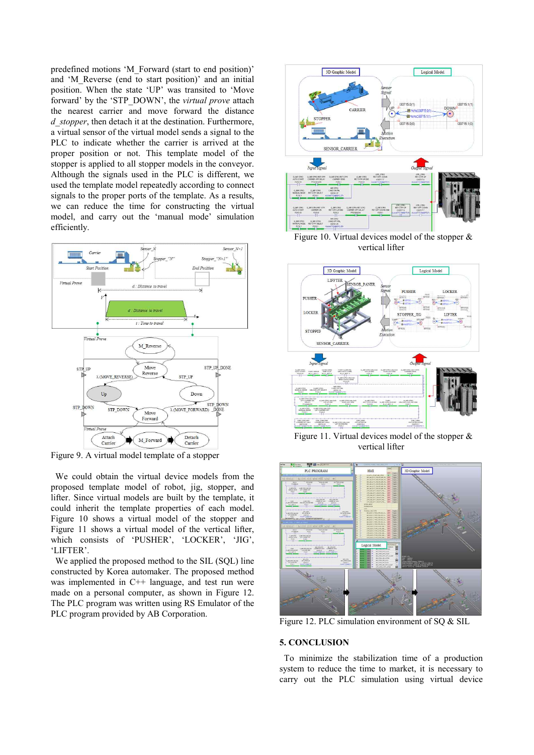predefined motions 'M\_Forward (start to end position)' and 'M\_Reverse (end to start position)' and an initial position. When the state 'UP' was transited to 'Move forward' by the 'STP\_DOWN', the *virtual prove* attach the nearest carrier and move forward the distance *d\_stopper*, then detach it at the destination. Furthermore, a virtual sensor of the virtual model sends a signal to the PLC to indicate whether the carrier is arrived at the proper position or not. This template model of the stopper is applied to all stopper models in the conveyor. Although the signals used in the PLC is different, we used the template model repeatedly according to connect signals to the proper ports of the template. As a results, we can reduce the time for constructing the virtual model, and carry out the 'manual mode' simulation efficiently.



Figure 9. A virtual model template of a stopper

We could obtain the virtual device models from the proposed template model of robot, jig, stopper, and lifter. Since virtual models are built by the template, it could inherit the template properties of each model. Figure 10 shows a virtual model of the stopper and Figure 11 shows a virtual model of the vertical lifter, which consists of 'PUSHER', 'LOCKER', 'JIG', 'LIFTER'. We applied the proposed method to the SIL (SOL) line

constructed by Korea automaker. The proposed method was implemented in C++ language, and test run were made on a personal computer, as shown in Figure 12. The PLC program was written using RS Emulator of the PLC program provided by AB Corporation.



Figure 10. Virtual devices model of the stopper & vertical lifter



Figure 11. Virtual devices model of the stopper & vertical lifter



Figure 12. PLC simulation environment of SQ & SIL

## **5. CONCLUSION**

To minimize the stabilization time of a production system to reduce the time to market, it is necessary to carry out the PLC simulation using virtual device